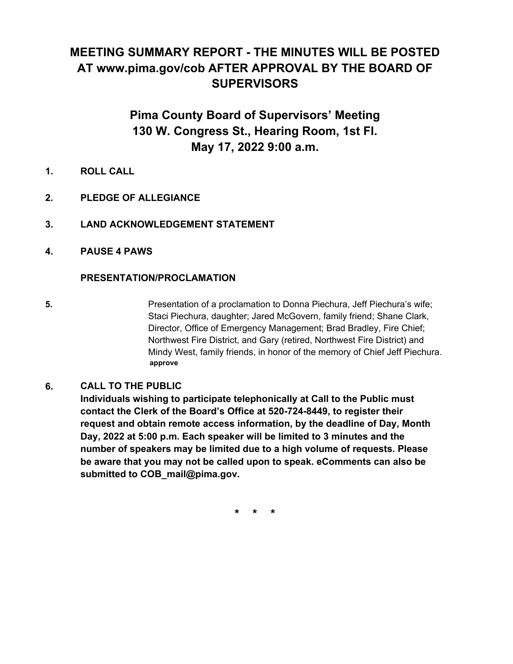# **MEETING SUMMARY REPORT - THE MINUTES WILL BE POSTED AT www.pima.gov/cob AFTER APPROVAL BY THE BOARD OF SUPERVISORS**

# **Pima County Board of Supervisors' Meeting 130 W. Congress St., Hearing Room, 1st Fl. May 17, 2022 9:00 a.m.**

- **1. ROLL CALL**
- **2. PLEDGE OF ALLEGIANCE**
- **3. LAND ACKNOWLEDGEMENT STATEMENT**
- **4. PAUSE 4 PAWS**

#### **PRESENTATION/PROCLAMATION**

**5.** Presentation of a proclamation to Donna Piechura, Jeff Piechura's wife; Staci Piechura, daughter; Jared McGovern, family friend; Shane Clark, Director, Office of Emergency Management; Brad Bradley, Fire Chief; Northwest Fire District, and Gary (retired, Northwest Fire District) and Mindy West, family friends, in honor of the memory of Chief Jeff Piechura. **approve**

#### **CALL TO THE PUBLIC 6.**

**Individuals wishing to participate telephonically at Call to the Public must contact the Clerk of the Board's Office at 520-724-8449, to register their request and obtain remote access information, by the deadline of Day, Month Day, 2022 at 5:00 p.m. Each speaker will be limited to 3 minutes and the number of speakers may be limited due to a high volume of requests. Please be aware that you may not be called upon to speak. eComments can also be submitted to COB\_mail@pima.gov.**

**\* \* \***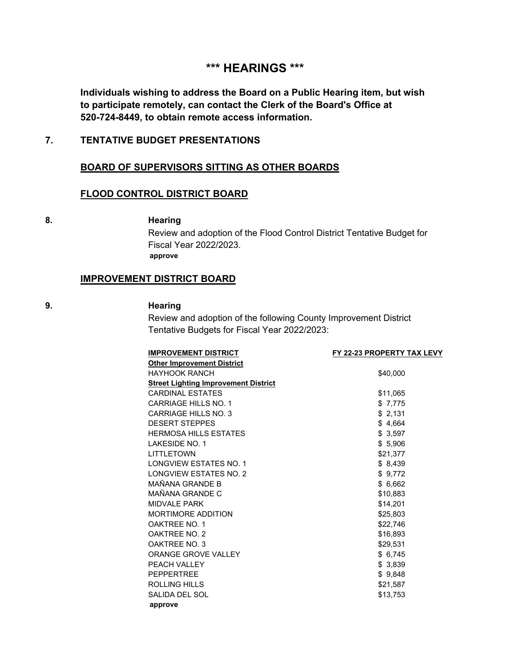## **\*\*\* HEARINGS \*\*\***

**Individuals wishing to address the Board on a Public Hearing item, but wish to participate remotely, can contact the Clerk of the Board's Office at 520-724-8449, to obtain remote access information.**

#### **7. TENTATIVE BUDGET PRESENTATIONS**

#### **BOARD OF SUPERVISORS SITTING AS OTHER BOARDS**

#### **FLOOD CONTROL DISTRICT BOARD**

#### **8. Hearing**

Review and adoption of the Flood Control District Tentative Budget for Fiscal Year 2022/2023. **approve**

#### **IMPROVEMENT DISTRICT BOARD**

#### **9. Hearing**

Review and adoption of the following County Improvement District Tentative Budgets for Fiscal Year 2022/2023:

| FY 22-23 PROPERTY TAX LEVY |
|----------------------------|
|                            |
| \$40,000                   |
|                            |
| \$11,065                   |
| \$7,775                    |
| \$2,131                    |
| \$4,664                    |
| \$3,597                    |
| \$5,906                    |
| \$21,377                   |
| \$8,439                    |
| \$9,772                    |
| \$6,662                    |
| \$10,883                   |
| \$14,201                   |
| \$25,803                   |
| \$22,746                   |
| \$16,893                   |
| \$29,531                   |
| \$6,745                    |
| \$3,839                    |
| \$9,848                    |
| \$21,587                   |
| \$13,753                   |
|                            |
|                            |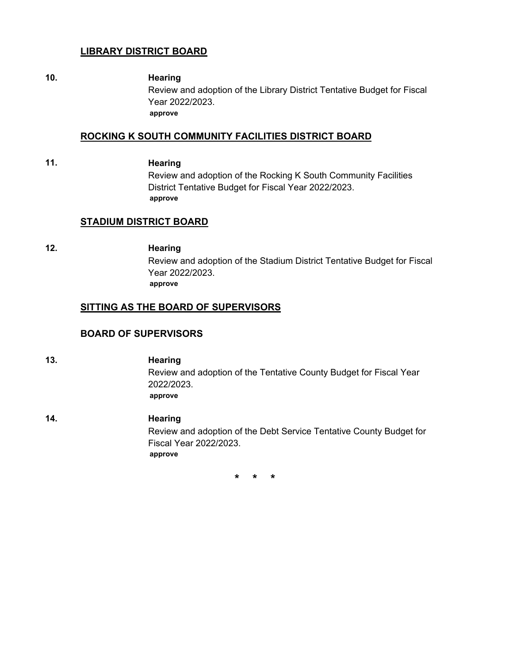#### **LIBRARY DISTRICT BOARD**

#### **10. Hearing**

Review and adoption of the Library District Tentative Budget for Fiscal Year 2022/2023. **approve**

#### **ROCKING K SOUTH COMMUNITY FACILITIES DISTRICT BOARD**

#### **11. Hearing**

Review and adoption of the Rocking K South Community Facilities District Tentative Budget for Fiscal Year 2022/2023. **approve**

#### **STADIUM DISTRICT BOARD**

### **12. Hearing**

Review and adoption of the Stadium District Tentative Budget for Fiscal Year 2022/2023. **approve**

#### **SITTING AS THE BOARD OF SUPERVISORS**

#### **BOARD OF SUPERVISORS**

- **13. Hearing** Review and adoption of the Tentative County Budget for Fiscal Year 2022/2023. **approve**
- **14. Hearing** Review and adoption of the Debt Service Tentative County Budget for Fiscal Year 2022/2023. **approve**

**\* \* \***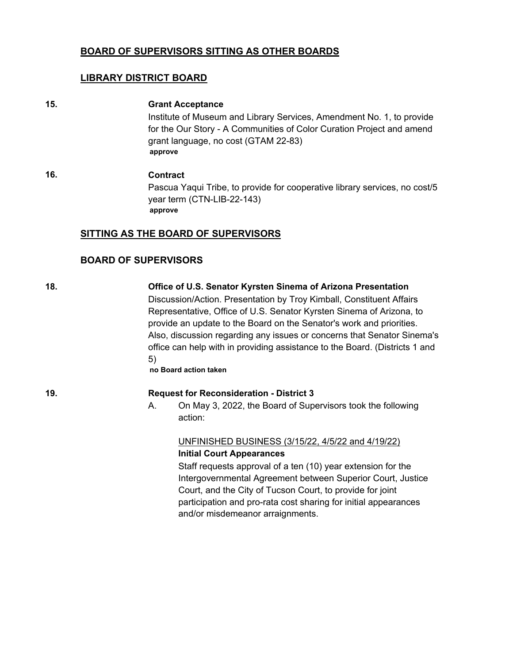#### **BOARD OF SUPERVISORS SITTING AS OTHER BOARDS**

#### **LIBRARY DISTRICT BOARD**

#### **15. Grant Acceptance**

Institute of Museum and Library Services, Amendment No. 1, to provide for the Our Story - A Communities of Color Curation Project and amend grant language, no cost (GTAM 22-83) **approve**

**16. Contract** Pascua Yaqui Tribe, to provide for cooperative library services, no cost/5 year term (CTN-LIB-22-143) **approve**

#### **SITTING AS THE BOARD OF SUPERVISORS**

#### **BOARD OF SUPERVISORS**

**18. Office of U.S. Senator Kyrsten Sinema of Arizona Presentation** Discussion/Action. Presentation by Troy Kimball, Constituent Affairs Representative, Office of U.S. Senator Kyrsten Sinema of Arizona, to provide an update to the Board on the Senator's work and priorities. Also, discussion regarding any issues or concerns that Senator Sinema's office can help with in providing assistance to the Board. (Districts 1 and 5)

**no Board action taken**

#### **19. Request for Reconsideration - District 3**

A. On May 3, 2022, the Board of Supervisors took the following action:

#### UNFINISHED BUSINESS (3/15/22, 4/5/22 and 4/19/22) **Initial Court Appearances**

Staff requests approval of a ten (10) year extension for the Intergovernmental Agreement between Superior Court, Justice Court, and the City of Tucson Court, to provide for joint participation and pro-rata cost sharing for initial appearances and/or misdemeanor arraignments.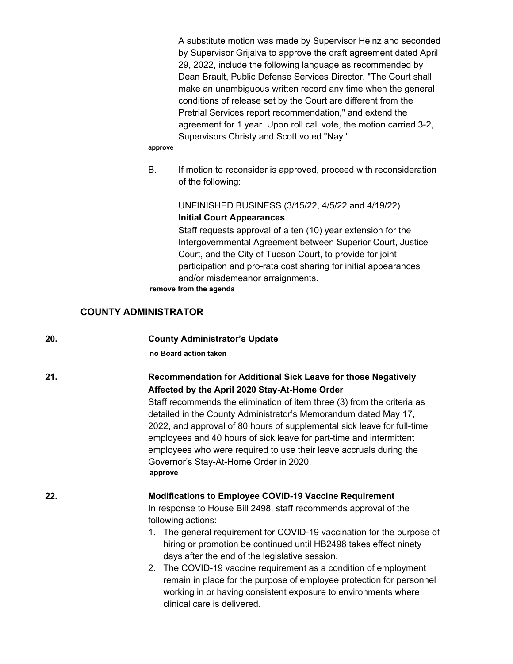A substitute motion was made by Supervisor Heinz and seconded by Supervisor Grijalva to approve the draft agreement dated April 29, 2022, include the following language as recommended by Dean Brault, Public Defense Services Director, "The Court shall make an unambiguous written record any time when the general conditions of release set by the Court are different from the Pretrial Services report recommendation," and extend the agreement for 1 year. Upon roll call vote, the motion carried 3-2, Supervisors Christy and Scott voted "Nay."

#### **approve**

B. If motion to reconsider is approved, proceed with reconsideration of the following:

#### UNFINISHED BUSINESS (3/15/22, 4/5/22 and 4/19/22) **Initial Court Appearances**

Staff requests approval of a ten (10) year extension for the Intergovernmental Agreement between Superior Court, Justice Court, and the City of Tucson Court, to provide for joint participation and pro-rata cost sharing for initial appearances and/or misdemeanor arraignments.

**remove from the agenda**

#### **COUNTY ADMINISTRATOR**

| 20. | <b>County Administrator's Update</b>                                                                                                                                                                                                                                                                                                                                                                                                                                                                                                                                                                  |
|-----|-------------------------------------------------------------------------------------------------------------------------------------------------------------------------------------------------------------------------------------------------------------------------------------------------------------------------------------------------------------------------------------------------------------------------------------------------------------------------------------------------------------------------------------------------------------------------------------------------------|
|     | no Board action taken                                                                                                                                                                                                                                                                                                                                                                                                                                                                                                                                                                                 |
| 21. | Recommendation for Additional Sick Leave for those Negatively<br>Affected by the April 2020 Stay-At-Home Order<br>Staff recommends the elimination of item three (3) from the criteria as<br>detailed in the County Administrator's Memorandum dated May 17,<br>2022, and approval of 80 hours of supplemental sick leave for full-time<br>employees and 40 hours of sick leave for part-time and intermittent<br>employees who were required to use their leave accruals during the<br>Governor's Stay-At-Home Order in 2020.<br>approve                                                             |
| 22. | <b>Modifications to Employee COVID-19 Vaccine Requirement</b><br>In response to House Bill 2498, staff recommends approval of the<br>following actions:<br>1. The general requirement for COVID-19 vaccination for the purpose of<br>hiring or promotion be continued until HB2498 takes effect ninety<br>days after the end of the legislative session.<br>2. The COVID-19 vaccine requirement as a condition of employment<br>remain in place for the purpose of employee protection for personnel<br>working in or having consistent exposure to environments where<br>clinical care is delivered. |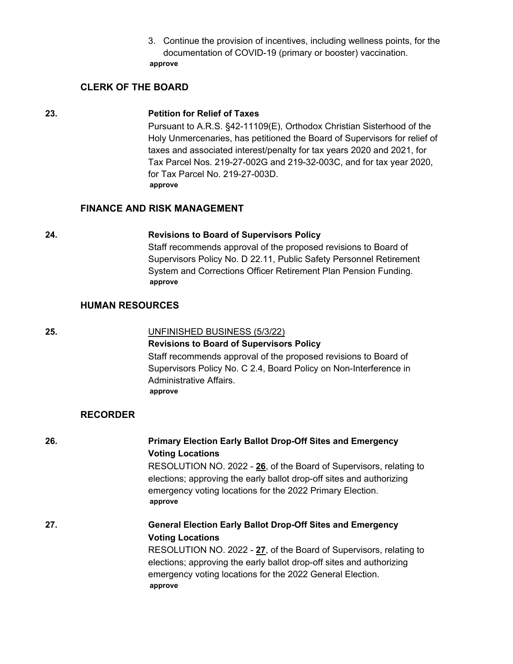3. Continue the provision of incentives, including wellness points, for the documentation of COVID-19 (primary or booster) vaccination. **approve**

#### **CLERK OF THE BOARD**

#### **23. Petition for Relief of Taxes**

Pursuant to A.R.S. §42-11109(E), Orthodox Christian Sisterhood of the Holy Unmercenaries, has petitioned the Board of Supervisors for relief of taxes and associated interest/penalty for tax years 2020 and 2021, for Tax Parcel Nos. 219-27-002G and 219-32-003C, and for tax year 2020, for Tax Parcel No. 219-27-003D. **approve**

#### **FINANCE AND RISK MANAGEMENT**

#### **24. Revisions to Board of Supervisors Policy**

Staff recommends approval of the proposed revisions to Board of Supervisors Policy No. D 22.11, Public Safety Personnel Retirement System and Corrections Officer Retirement Plan Pension Funding. **approve**

#### **HUMAN RESOURCES**

#### **25.** UNFINISHED BUSINESS (5/3/22)

**Revisions to Board of Supervisors Policy**

Staff recommends approval of the proposed revisions to Board of Supervisors Policy No. C 2.4, Board Policy on Non-Interference in Administrative Affairs. **approve**

#### **RECORDER**

| 26. | <b>Primary Election Early Ballot Drop-Off Sites and Emergency</b><br><b>Voting Locations</b><br>RESOLUTION NO. 2022 - 26, of the Board of Supervisors, relating to<br>elections; approving the early ballot drop-off sites and authorizing<br>emergency voting locations for the 2022 Primary Election.<br>approve |
|-----|--------------------------------------------------------------------------------------------------------------------------------------------------------------------------------------------------------------------------------------------------------------------------------------------------------------------|
| 27. | <b>General Election Early Ballot Drop-Off Sites and Emergency</b><br><b>Voting Locations</b><br>RESOLUTION NO. 2022 - 27, of the Board of Supervisors, relating to<br>elections; approving the early ballot drop-off sites and authorizing<br>emergency voting locations for the 2022 General Election.<br>approve |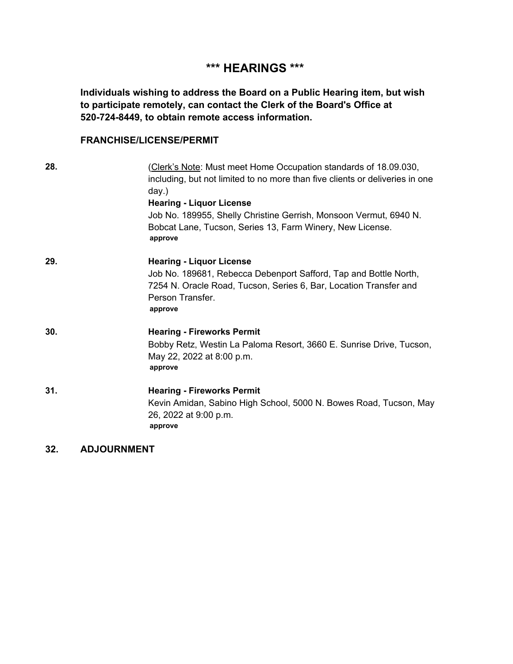# **\*\*\* HEARINGS \*\*\***

**Individuals wishing to address the Board on a Public Hearing item, but wish to participate remotely, can contact the Clerk of the Board's Office at 520-724-8449, to obtain remote access information.**

#### **FRANCHISE/LICENSE/PERMIT**

| 28. | (Clerk's Note: Must meet Home Occupation standards of 18.09.030,<br>including, but not limited to no more than five clients or deliveries in one<br>day.)<br><b>Hearing - Liquor License</b><br>Job No. 189955, Shelly Christine Gerrish, Monsoon Vermut, 6940 N.<br>Bobcat Lane, Tucson, Series 13, Farm Winery, New License.<br>approve |
|-----|-------------------------------------------------------------------------------------------------------------------------------------------------------------------------------------------------------------------------------------------------------------------------------------------------------------------------------------------|
| 29. | <b>Hearing - Liquor License</b><br>Job No. 189681, Rebecca Debenport Safford, Tap and Bottle North,<br>7254 N. Oracle Road, Tucson, Series 6, Bar, Location Transfer and<br>Person Transfer.<br>approve                                                                                                                                   |
| 30. | <b>Hearing - Fireworks Permit</b><br>Bobby Retz, Westin La Paloma Resort, 3660 E. Sunrise Drive, Tucson,<br>May 22, 2022 at 8:00 p.m.<br>approve                                                                                                                                                                                          |
| 31. | <b>Hearing - Fireworks Permit</b><br>Kevin Amidan, Sabino High School, 5000 N. Bowes Road, Tucson, May<br>26, 2022 at 9:00 p.m.<br>approve                                                                                                                                                                                                |

**32. ADJOURNMENT**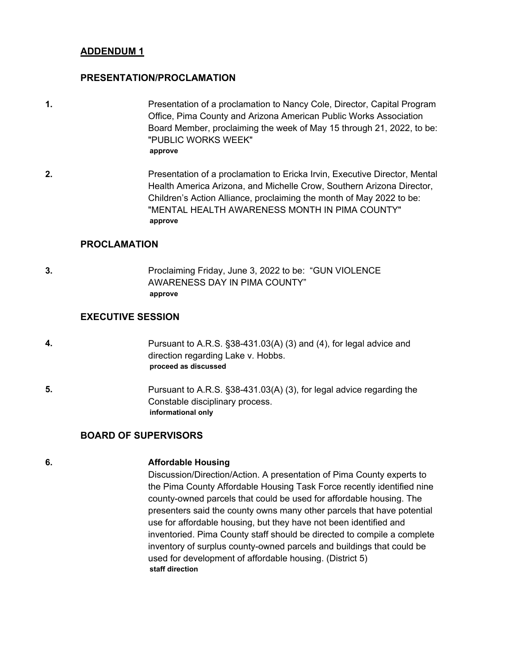#### **PRESENTATION/PROCLAMATION**

- **1.** Presentation of a proclamation to Nancy Cole, Director, Capital Program Office, Pima County and Arizona American Public Works Association Board Member, proclaiming the week of May 15 through 21, 2022, to be: "PUBLIC WORKS WEEK" **approve**
- **2.** Presentation of a proclamation to Ericka Irvin, Executive Director, Mental Health America Arizona, and Michelle Crow, Southern Arizona Director, Children's Action Alliance, proclaiming the month of May 2022 to be: "MENTAL HEALTH AWARENESS MONTH IN PIMA COUNTY" **approve**

#### **PROCLAMATION**

**3.** Proclaiming Friday, June 3, 2022 to be: "GUN VIOLENCE AWARENESS DAY IN PIMA COUNTY" **approve**

#### **EXECUTIVE SESSION**

- **4.** Pursuant to A.R.S. §38-431.03(A) (3) and (4), for legal advice and direction regarding Lake v. Hobbs. **proceed as discussed**
- **5.** Pursuant to A.R.S. §38-431.03(A) (3), for legal advice regarding the Constable disciplinary process. **informational only**

#### **BOARD OF SUPERVISORS**

#### **6. Affordable Housing**

Discussion/Direction/Action. A presentation of Pima County experts to the Pima County Affordable Housing Task Force recently identified nine county-owned parcels that could be used for affordable housing. The presenters said the county owns many other parcels that have potential use for affordable housing, but they have not been identified and inventoried. Pima County staff should be directed to compile a complete inventory of surplus county-owned parcels and buildings that could be used for development of affordable housing. (District 5) **staff direction**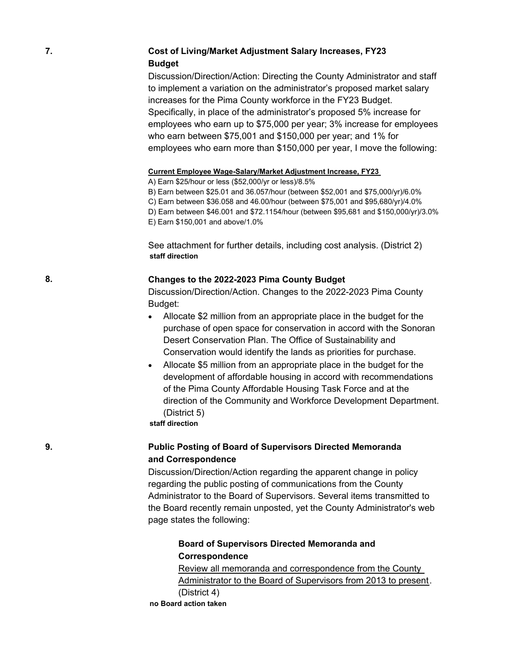#### **7. Cost of Living/Market Adjustment Salary Increases, FY23 Budget**

Discussion/Direction/Action: Directing the County Administrator and staff to implement a variation on the administrator's proposed market salary increases for the Pima County workforce in the FY23 Budget. Specifically, in place of the administrator's proposed 5% increase for employees who earn up to \$75,000 per year; 3% increase for employees who earn between \$75,001 and \$150,000 per year; and 1% for employees who earn more than \$150,000 per year, I move the following:

#### **Current Employee Wage-Salary/Market Adjustment Increase, FY23**

A) Earn \$25/hour or less (\$52,000/yr or less)/8.5%

B) Earn between \$25.01 and 36.057/hour (between \$52,001 and \$75,000/yr)/6.0% C) Earn between \$36.058 and 46.00/hour (between \$75,001 and \$95,680/yr)/4.0% D) Earn between \$46.001 and \$72.1154/hour (between \$95,681 and \$150,000/yr)/3.0% E) Earn \$150,001 and above/1.0%

See attachment for further details, including cost analysis. (District 2) **staff direction**

#### **8. Changes to the 2022-2023 Pima County Budget**

Discussion/Direction/Action. Changes to the 2022-2023 Pima County Budget:

- · Allocate \$2 million from an appropriate place in the budget for the purchase of open space for conservation in accord with the Sonoran Desert Conservation Plan. The Office of Sustainability and Conservation would identify the lands as priorities for purchase.
- Allocate \$5 million from an appropriate place in the budget for the development of affordable housing in accord with recommendations of the Pima County Affordable Housing Task Force and at the direction of the Community and Workforce Development Department. (District 5)

**staff direction**

#### **9. Public Posting of Board of Supervisors Directed Memoranda and Correspondence**

Discussion/Direction/Action regarding the apparent change in policy regarding the public posting of communications from the County Administrator to the Board of Supervisors. Several items transmitted to the Board recently remain unposted, yet the County Administrator's web page states the following:

#### **Board of Supervisors Directed Memoranda and Correspondence**

Review all memoranda and correspondence from the County Administrator to the Board of Supervisors from 2013 to present. (District 4) **no Board action taken**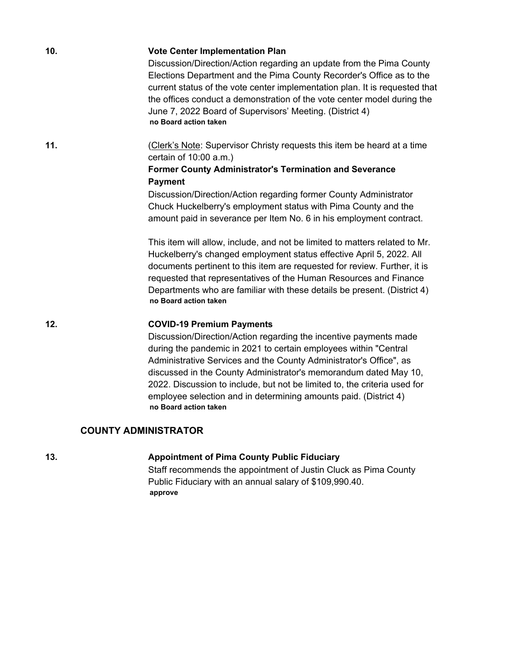| 10. | <b>Vote Center Implementation Plan</b><br>Discussion/Direction/Action regarding an update from the Pima County<br>Elections Department and the Pima County Recorder's Office as to the<br>current status of the vote center implementation plan. It is requested that<br>the offices conduct a demonstration of the vote center model during the<br>June 7, 2022 Board of Supervisors' Meeting. (District 4)<br>no Board action taken |
|-----|---------------------------------------------------------------------------------------------------------------------------------------------------------------------------------------------------------------------------------------------------------------------------------------------------------------------------------------------------------------------------------------------------------------------------------------|
| 11. | (Clerk's Note: Supervisor Christy requests this item be heard at a time<br>certain of 10:00 a.m.)<br><b>Former County Administrator's Termination and Severance</b><br><b>Payment</b><br>Discussion/Direction/Action regarding former County Administrator<br>Chuck Huckelberry's employment status with Pima County and the<br>amount paid in severance per Item No. 6 in his employment contract.                                   |
|     | This item will allow, include, and not be limited to matters related to Mr.<br>Huckelberry's changed employment status effective April 5, 2022. All<br>documents pertinent to this item are requested for review. Further, it is<br>requested that representatives of the Human Resources and Finance<br>Departments who are familiar with these details be present. (District 4)<br>no Board action taken                            |
| 12. | <b>COVID-19 Premium Payments</b><br>Discussion/Direction/Action regarding the incentive payments made<br>during the pandemic in 2021 to certain employees within "Central<br>Administrative Services and the County Administrator's Office", as<br>discussed in the County Administrator's memorandum dated May 10,<br>2022. Discussion to include, but not be limited to, the criteria used for                                      |

#### **COUNTY ADMINISTRATOR**

**no Board action taken**

### **13. Appointment of Pima County Public Fiduciary**

Staff recommends the appointment of Justin Cluck as Pima County Public Fiduciary with an annual salary of \$109,990.40. **approve**

employee selection and in determining amounts paid. (District 4)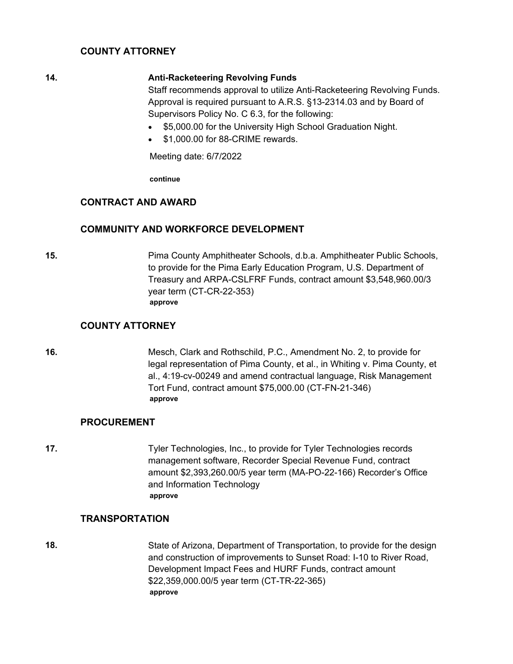#### **COUNTY ATTORNEY**

#### **14. Anti-Racketeering Revolving Funds**

Staff recommends approval to utilize Anti-Racketeering Revolving Funds. Approval is required pursuant to A.R.S. §13-2314.03 and by Board of Supervisors Policy No. C 6.3, for the following:

- \$5,000.00 for the University High School Graduation Night.
- · \$1,000.00 for 88-CRIME rewards.

Meeting date: 6/7/2022

**continue**

#### **CONTRACT AND AWARD**

#### **COMMUNITY AND WORKFORCE DEVELOPMENT**

**15.** Pima County Amphitheater Schools, d.b.a. Amphitheater Public Schools, to provide for the Pima Early Education Program, U.S. Department of Treasury and ARPA-CSLFRF Funds, contract amount \$3,548,960.00/3 year term (CT-CR-22-353) **approve**

#### **COUNTY ATTORNEY**

**16.** Mesch, Clark and Rothschild, P.C., Amendment No. 2, to provide for legal representation of Pima County, et al., in Whiting v. Pima County, et al., 4:19-cv-00249 and amend contractual language, Risk Management Tort Fund, contract amount \$75,000.00 (CT-FN-21-346) **approve**

#### **PROCUREMENT**

**17.** Tyler Technologies, Inc., to provide for Tyler Technologies records management software, Recorder Special Revenue Fund, contract amount \$2,393,260.00/5 year term (MA-PO-22-166) Recorder's Office and Information Technology **approve**

#### **TRANSPORTATION**

**18.** State of Arizona, Department of Transportation, to provide for the design and construction of improvements to Sunset Road: I-10 to River Road, Development Impact Fees and HURF Funds, contract amount \$22,359,000.00/5 year term (CT-TR-22-365) **approve**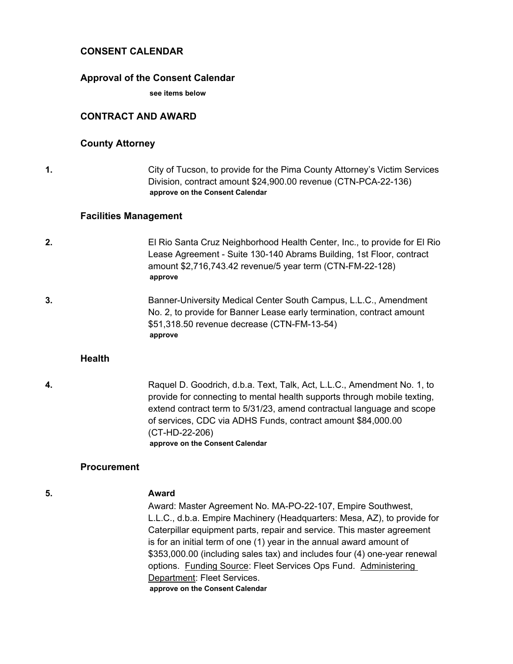#### **CONSENT CALENDAR**

#### **Approval of the Consent Calendar**

**see items below**

#### **CONTRACT AND AWARD**

#### **County Attorney**

**1.** City of Tucson, to provide for the Pima County Attorney's Victim Services Division, contract amount \$24,900.00 revenue (CTN-PCA-22-136) **approve on the Consent Calendar**

#### **Facilities Management**

- **2.** El Rio Santa Cruz Neighborhood Health Center, Inc., to provide for El Rio Lease Agreement - Suite 130-140 Abrams Building, 1st Floor, contract amount \$2,716,743.42 revenue/5 year term (CTN-FM-22-128) **approve**
- **3.** Banner-University Medical Center South Campus, L.L.C., Amendment No. 2, to provide for Banner Lease early termination, contract amount \$51,318.50 revenue decrease (CTN-FM-13-54) **approve**

#### **Health**

**4.** Raquel D. Goodrich, d.b.a. Text, Talk, Act, L.L.C., Amendment No. 1, to provide for connecting to mental health supports through mobile texting, extend contract term to 5/31/23, amend contractual language and scope of services, CDC via ADHS Funds, contract amount \$84,000.00 (CT-HD-22-206) **approve on the Consent Calendar**

#### **Procurement**

#### **5. Award**

Award: Master Agreement No. MA-PO-22-107, Empire Southwest, L.L.C., d.b.a. Empire Machinery (Headquarters: Mesa, AZ), to provide for Caterpillar equipment parts, repair and service. This master agreement is for an initial term of one (1) year in the annual award amount of \$353,000.00 (including sales tax) and includes four (4) one-year renewal options. Funding Source: Fleet Services Ops Fund. Administering Department: Fleet Services. **approve on the Consent Calendar**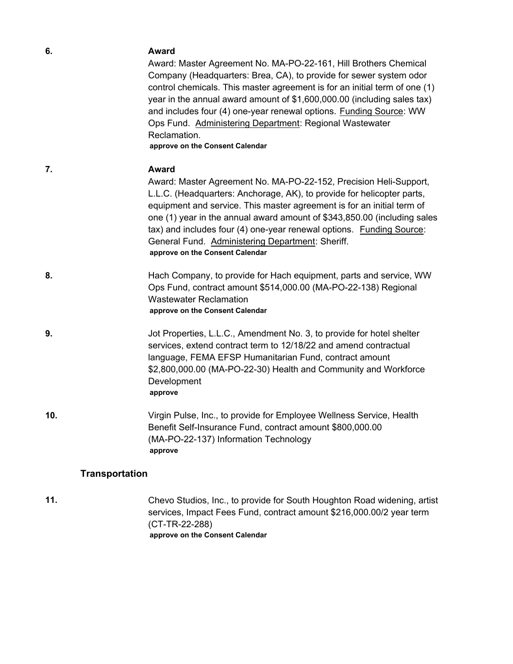| 6.                    | Award                                                                                                                                                                                                                                                                                                                                                                                                                                                                               |
|-----------------------|-------------------------------------------------------------------------------------------------------------------------------------------------------------------------------------------------------------------------------------------------------------------------------------------------------------------------------------------------------------------------------------------------------------------------------------------------------------------------------------|
|                       | Award: Master Agreement No. MA-PO-22-161, Hill Brothers Chemical<br>Company (Headquarters: Brea, CA), to provide for sewer system odor<br>control chemicals. This master agreement is for an initial term of one (1)<br>year in the annual award amount of \$1,600,000.00 (including sales tax)<br>and includes four (4) one-year renewal options. Funding Source: WW<br>Ops Fund. Administering Department: Regional Wastewater<br>Reclamation.<br>approve on the Consent Calendar |
| 7.                    | <b>Award</b>                                                                                                                                                                                                                                                                                                                                                                                                                                                                        |
|                       | Award: Master Agreement No. MA-PO-22-152, Precision Heli-Support,<br>L.L.C. (Headquarters: Anchorage, AK), to provide for helicopter parts,<br>equipment and service. This master agreement is for an initial term of<br>one (1) year in the annual award amount of \$343,850.00 (including sales<br>tax) and includes four (4) one-year renewal options. Funding Source:<br>General Fund. Administering Department: Sheriff.<br>approve on the Consent Calendar                    |
| 8.                    | Hach Company, to provide for Hach equipment, parts and service, WW<br>Ops Fund, contract amount \$514,000.00 (MA-PO-22-138) Regional<br><b>Wastewater Reclamation</b><br>approve on the Consent Calendar                                                                                                                                                                                                                                                                            |
| 9.                    | Jot Properties, L.L.C., Amendment No. 3, to provide for hotel shelter<br>services, extend contract term to 12/18/22 and amend contractual<br>language, FEMA EFSP Humanitarian Fund, contract amount<br>\$2,800,000.00 (MA-PO-22-30) Health and Community and Workforce<br>Development<br>approve                                                                                                                                                                                    |
| 10.                   | Virgin Pulse, Inc., to provide for Employee Wellness Service, Health<br>Benefit Self-Insurance Fund, contract amount \$800,000.00<br>(MA-PO-22-137) Information Technology<br>approve                                                                                                                                                                                                                                                                                               |
| <b>Transportation</b> |                                                                                                                                                                                                                                                                                                                                                                                                                                                                                     |
| 11.                   | Chevo Studios, Inc., to provide for South Houghton Road widening, artist<br>services, Impact Fees Fund, contract amount \$216,000.00/2 year term<br>(CT-TR-22-288)                                                                                                                                                                                                                                                                                                                  |

**approve on the Consent Calendar**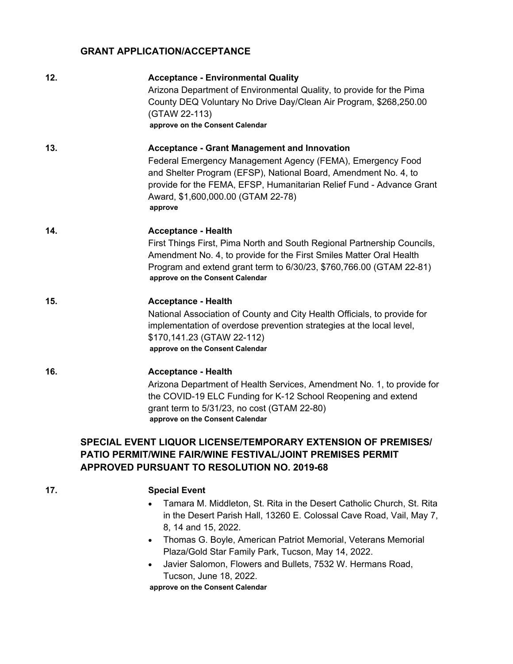#### **GRANT APPLICATION/ACCEPTANCE**

| 12. | <b>Acceptance - Environmental Quality</b><br>Arizona Department of Environmental Quality, to provide for the Pima<br>County DEQ Voluntary No Drive Day/Clean Air Program, \$268,250.00<br>(GTAW 22-113)<br>approve on the Consent Calendar                                                                    |
|-----|---------------------------------------------------------------------------------------------------------------------------------------------------------------------------------------------------------------------------------------------------------------------------------------------------------------|
| 13. | <b>Acceptance - Grant Management and Innovation</b><br>Federal Emergency Management Agency (FEMA), Emergency Food<br>and Shelter Program (EFSP), National Board, Amendment No. 4, to<br>provide for the FEMA, EFSP, Humanitarian Relief Fund - Advance Grant<br>Award, \$1,600,000.00 (GTAM 22-78)<br>approve |
| 14. | <b>Acceptance - Health</b><br>First Things First, Pima North and South Regional Partnership Councils,<br>Amendment No. 4, to provide for the First Smiles Matter Oral Health<br>Program and extend grant term to 6/30/23, \$760,766.00 (GTAM 22-81)<br>approve on the Consent Calendar                        |
| 15. | <b>Acceptance - Health</b><br>National Association of County and City Health Officials, to provide for<br>implementation of overdose prevention strategies at the local level,<br>\$170,141.23 (GTAW 22-112)<br>approve on the Consent Calendar                                                               |
| 16. | <b>Acceptance - Health</b><br>Arizona Department of Health Services, Amendment No. 1, to provide for<br>the COVID-19 ELC Funding for K-12 School Reopening and extend<br>grant term to 5/31/23, no cost (GTAM 22-80)<br>approve on the Consent Calendar                                                       |
|     | SPECIAL EVENT LIQUOR LICENSE/TEMPORARY EXTENSION OF PREMISES/<br><b>PATIO PERMIT/WINE FAIR/WINE FESTIVAL/JOINT PREMISES PERMIT</b>                                                                                                                                                                            |

### **17. Special Event**

- · Tamara M. Middleton, St. Rita in the Desert Catholic Church, St. Rita in the Desert Parish Hall, 13260 E. Colossal Cave Road, Vail, May 7, 8, 14 and 15, 2022.
- · Thomas G. Boyle, American Patriot Memorial, Veterans Memorial Plaza/Gold Star Family Park, Tucson, May 14, 2022.
- · Javier Salomon, Flowers and Bullets, 7532 W. Hermans Road, Tucson, June 18, 2022.

**approve on the Consent Calendar**

**APPROVED PURSUANT TO RESOLUTION NO. 2019-68**